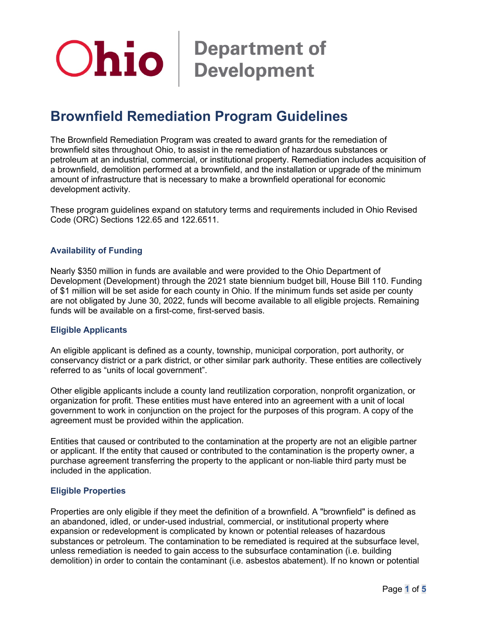# **Ohio** Bepartment of

# **Brownfield Remediation Program Guidelines**

The Brownfield Remediation Program was created to award grants for the remediation of brownfield sites throughout Ohio, to assist in the remediation of hazardous substances or petroleum at an industrial, commercial, or institutional property. Remediation includes acquisition of a brownfield, demolition performed at a brownfield, and the installation or upgrade of the minimum amount of infrastructure that is necessary to make a brownfield operational for economic development activity.

These program guidelines expand on statutory terms and requirements included in Ohio Revised Code (ORC) Sections 122.65 and 122.6511.

# **Availability of Funding**

Nearly \$350 million in funds are available and were provided to the Ohio Department of Development (Development) through the 2021 state biennium budget bill, House Bill 110. Funding of \$1 million will be set aside for each county in Ohio. If the minimum funds set aside per county are not obligated by June 30, 2022, funds will become available to all eligible projects. Remaining funds will be available on a first-come, first-served basis.

#### **Eligible Applicants**

An eligible applicant is defined as a county, township, municipal corporation, port authority, or conservancy district or a park district, or other similar park authority. These entities are collectively referred to as "units of local government".

Other eligible applicants include a county land reutilization corporation, nonprofit organization, or organization for profit. These entities must have entered into an agreement with a unit of local government to work in conjunction on the project for the purposes of this program. A copy of the agreement must be provided within the application.

Entities that caused or contributed to the contamination at the property are not an eligible partner or applicant. If the entity that caused or contributed to the contamination is the property owner, a purchase agreement transferring the property to the applicant or non-liable third party must be included in the application.

#### **Eligible Properties**

Properties are only eligible if they meet the definition of a brownfield. A "brownfield" is defined as an abandoned, idled, or under-used industrial, commercial, or institutional property where expansion or redevelopment is complicated by known or potential releases of hazardous substances or petroleum. The contamination to be remediated is required at the subsurface level, unless remediation is needed to gain access to the subsurface contamination (i.e. building demolition) in order to contain the contaminant (i.e. asbestos abatement). If no known or potential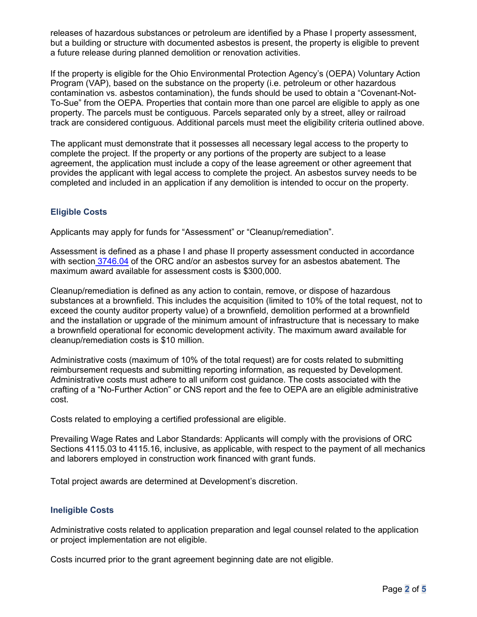releases of hazardous substances or petroleum are identified by a Phase I property assessment, but a building or structure with documented asbestos is present, the property is eligible to prevent a future release during planned demolition or renovation activities.

If the property is eligible for the Ohio Environmental Protection Agency's (OEPA) Voluntary Action Program (VAP), based on the substance on the property (i.e. petroleum or other hazardous contamination vs. asbestos contamination), the funds should be used to obtain a "Covenant-Not-To-Sue" from the OEPA. Properties that contain more than one parcel are eligible to apply as one property. The parcels must be contiguous. Parcels separated only by a street, alley or railroad track are considered contiguous. Additional parcels must meet the eligibility criteria outlined above.

The applicant must demonstrate that it possesses all necessary legal access to the property to complete the project. If the property or any portions of the property are subject to a lease agreement, the application must include a copy of the lease agreement or other agreement that provides the applicant with legal access to complete the project. An asbestos survey needs to be completed and included in an application if any demolition is intended to occur on the property.

# **Eligible Costs**

Applicants may apply for funds for "Assessment" or "Cleanup/remediation".

Assessment is defined as a phase I and phase II property assessment conducted in accordance with section [3746.04](https://codes.ohio.gov/ohio-revised-code/section-3746.04) of the ORC and/or an asbestos survey for an asbestos abatement. The maximum award available for assessment costs is \$300,000.

Cleanup/remediation is defined as any action to contain, remove, or dispose of hazardous substances at a brownfield. This includes the acquisition (limited to 10% of the total request, not to exceed the county auditor property value) of a brownfield, demolition performed at a brownfield and the installation or upgrade of the minimum amount of infrastructure that is necessary to make a brownfield operational for economic development activity. The maximum award available for cleanup/remediation costs is \$10 million.

Administrative costs (maximum of 10% of the total request) are for costs related to submitting reimbursement requests and submitting reporting information, as requested by Development. Administrative costs must adhere to all uniform cost guidance. The costs associated with the crafting of a "No-Further Action" or CNS report and the fee to OEPA are an eligible administrative cost.

Costs related to employing a certified professional are eligible.

Prevailing Wage Rates and Labor Standards: Applicants will comply with the provisions of ORC Sections 4115.03 to 4115.16, inclusive, as applicable, with respect to the payment of all mechanics and laborers employed in construction work financed with grant funds.

Total project awards are determined at Development's discretion.

# **Ineligible Costs**

Administrative costs related to application preparation and legal counsel related to the application or project implementation are not eligible.

Costs incurred prior to the grant agreement beginning date are not eligible.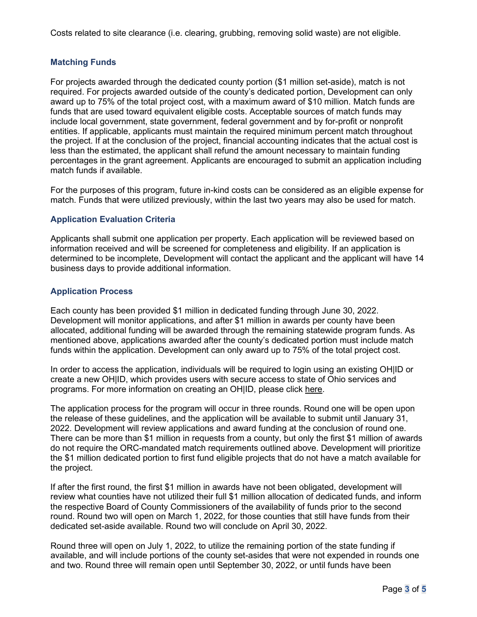Costs related to site clearance (i.e. clearing, grubbing, removing solid waste) are not eligible.

# **Matching Funds**

For projects awarded through the dedicated county portion (\$1 million set-aside), match is not required. For projects awarded outside of the county's dedicated portion, Development can only award up to 75% of the total project cost, with a maximum award of \$10 million. Match funds are funds that are used toward equivalent eligible costs. Acceptable sources of match funds may include local government, state government, federal government and by for-profit or nonprofit entities. If applicable, applicants must maintain the required minimum percent match throughout the project. If at the conclusion of the project, financial accounting indicates that the actual cost is less than the estimated, the applicant shall refund the amount necessary to maintain funding percentages in the grant agreement. Applicants are encouraged to submit an application including match funds if available.

For the purposes of this program, future in-kind costs can be considered as an eligible expense for match. Funds that were utilized previously, within the last two years may also be used for match.

# **Application Evaluation Criteria**

Applicants shall submit one application per property. Each application will be reviewed based on information received and will be screened for completeness and eligibility. If an application is determined to be incomplete, Development will contact the applicant and the applicant will have 14 business days to provide additional information.

# **Application Process**

Each county has been provided \$1 million in dedicated funding through June 30, 2022. Development will monitor applications, and after \$1 million in awards per county have been allocated, additional funding will be awarded through the remaining statewide program funds. As mentioned above, applications awarded after the county's dedicated portion must include match funds within the application. Development can only award up to 75% of the total project cost.

In order to access the application, individuals will be required to login using an existing OH|ID or create a new OH|ID, which provides users with secure access to state of Ohio services and programs. For more information on creating an OH|ID, please click [here.](https://ohid.ohio.gov/wps/portal/gov/ohid/create-account/create-account)

The application process for the program will occur in three rounds. Round one will be open upon the release of these guidelines, and the application will be available to submit until January 31, 2022. Development will review applications and award funding at the conclusion of round one. There can be more than \$1 million in requests from a county, but only the first \$1 million of awards do not require the ORC-mandated match requirements outlined above. Development will prioritize the \$1 million dedicated portion to first fund eligible projects that do not have a match available for the project.

If after the first round, the first \$1 million in awards have not been obligated, development will review what counties have not utilized their full \$1 million allocation of dedicated funds, and inform the respective Board of County Commissioners of the availability of funds prior to the second round. Round two will open on March 1, 2022, for those counties that still have funds from their dedicated set-aside available. Round two will conclude on April 30, 2022.

Round three will open on July 1, 2022, to utilize the remaining portion of the state funding if available, and will include portions of the county set-asides that were not expended in rounds one and two. Round three will remain open until September 30, 2022, or until funds have been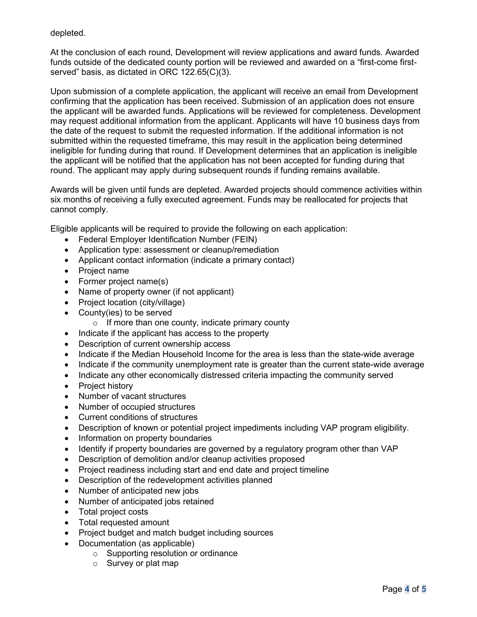depleted.

At the conclusion of each round, Development will review applications and award funds. Awarded funds outside of the dedicated county portion will be reviewed and awarded on a "first-come firstserved" basis, as dictated in ORC 122.65(C)(3).

Upon submission of a complete application, the applicant will receive an email from Development confirming that the application has been received. Submission of an application does not ensure the applicant will be awarded funds. Applications will be reviewed for completeness. Development may request additional information from the applicant. Applicants will have 10 business days from the date of the request to submit the requested information. If the additional information is not submitted within the requested timeframe, this may result in the application being determined ineligible for funding during that round. If Development determines that an application is ineligible the applicant will be notified that the application has not been accepted for funding during that round. The applicant may apply during subsequent rounds if funding remains available.

Awards will be given until funds are depleted. Awarded projects should commence activities within six months of receiving a fully executed agreement. Funds may be reallocated for projects that cannot comply.

Eligible applicants will be required to provide the following on each application:

- Federal Employer Identification Number (FEIN)
- Application type: assessment or cleanup/remediation
- Applicant contact information (indicate a primary contact)
- Project name
- Former project name(s)
- Name of property owner (if not applicant)
- Project location (city/village)
- County(ies) to be served
	- $\circ$  If more than one county, indicate primary county
- Indicate if the applicant has access to the property
- Description of current ownership access
- Indicate if the Median Household Income for the area is less than the state-wide average
- Indicate if the community unemployment rate is greater than the current state-wide average
- Indicate any other economically distressed criteria impacting the community served
- Project history
- Number of vacant structures
- Number of occupied structures
- Current conditions of structures
- Description of known or potential project impediments including VAP program eligibility.
- Information on property boundaries
- Identify if property boundaries are governed by a regulatory program other than VAP
- Description of demolition and/or cleanup activities proposed
- Project readiness including start and end date and project timeline
- Description of the redevelopment activities planned
- Number of anticipated new jobs
- Number of anticipated jobs retained
- Total project costs
- Total requested amount
- Project budget and match budget including sources
- Documentation (as applicable)
	- o Supporting resolution or ordinance
	- o Survey or plat map